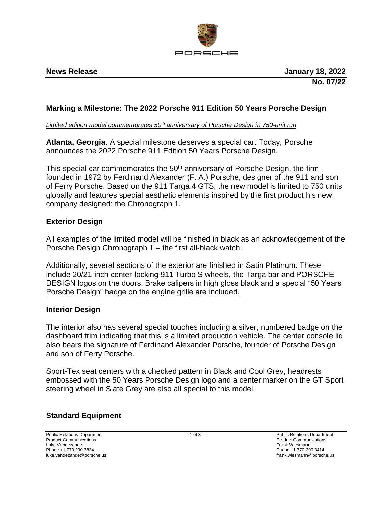

## **Marking a Milestone: The 2022 Porsche 911 Edition 50 Years Porsche Design**

*Limited edition model commemorates 50th anniversary of Porsche Design in 750-unit run*

**Atlanta, Georgia**. A special milestone deserves a special car. Today, Porsche announces the 2022 Porsche 911 Edition 50 Years Porsche Design.

This special car commemorates the  $50<sup>th</sup>$  anniversary of Porsche Design, the firm founded in 1972 by Ferdinand Alexander (F. A.) Porsche, designer of the 911 and son of Ferry Porsche. Based on the 911 Targa 4 GTS, the new model is limited to 750 units globally and features special aesthetic elements inspired by the first product his new company designed: the Chronograph 1.

### **Exterior Design**

All examples of the limited model will be finished in black as an acknowledgement of the Porsche Design Chronograph 1 – the first all-black watch.

Additionally, several sections of the exterior are finished in Satin Platinum. These include 20/21-inch center-locking 911 Turbo S wheels, the Targa bar and PORSCHE DESIGN logos on the doors. Brake calipers in high gloss black and a special "50 Years Porsche Design" badge on the engine grille are included.

### **Interior Design**

The interior also has several special touches including a silver, numbered badge on the dashboard trim indicating that this is a limited production vehicle. The center console lid also bears the signature of Ferdinand Alexander Porsche, founder of Porsche Design and son of Ferry Porsche.

Sport-Tex seat centers with a checked pattern in Black and Cool Grey, headrests embossed with the 50 Years Porsche Design logo and a center marker on the GT Sport steering wheel in Slate Grey are also all special to this model.

### **Standard Equipment**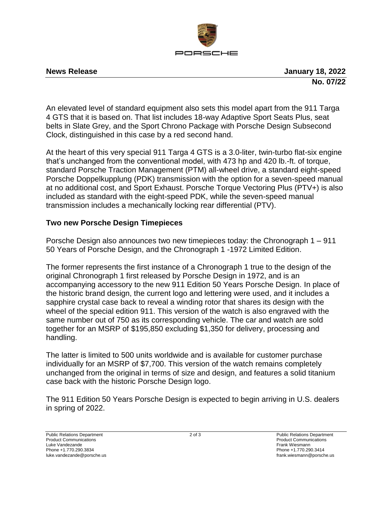

**News Release January 18, 2022 No. 07/22**

An elevated level of standard equipment also sets this model apart from the 911 Targa 4 GTS that it is based on. That list includes 18-way Adaptive Sport Seats Plus, seat belts in Slate Grey, and the Sport Chrono Package with Porsche Design Subsecond Clock, distinguished in this case by a red second hand.

At the heart of this very special 911 Targa 4 GTS is a 3.0-liter, twin-turbo flat-six engine that's unchanged from the conventional model, with 473 hp and 420 lb.-ft. of torque, standard Porsche Traction Management (PTM) all-wheel drive, a standard eight-speed Porsche Doppelkupplung (PDK) transmission with the option for a seven-speed manual at no additional cost, and Sport Exhaust. Porsche Torque Vectoring Plus (PTV+) is also included as standard with the eight-speed PDK, while the seven-speed manual transmission includes a mechanically locking rear differential (PTV).

# **Two new Porsche Design Timepieces**

Porsche Design also announces two new timepieces today: the Chronograph 1 – 911 50 Years of Porsche Design, and the Chronograph 1 -1972 Limited Edition.

The former represents the first instance of a Chronograph 1 true to the design of the original Chronograph 1 first released by Porsche Design in 1972, and is an accompanying accessory to the new 911 Edition 50 Years Porsche Design. In place of the historic brand design, the current logo and lettering were used, and it includes a sapphire crystal case back to reveal a winding rotor that shares its design with the wheel of the special edition 911. This version of the watch is also engraved with the same number out of 750 as its corresponding vehicle. The car and watch are sold together for an MSRP of \$195,850 excluding \$1,350 for delivery, processing and handling.

The latter is limited to 500 units worldwide and is available for customer purchase individually for an MSRP of \$7,700. This version of the watch remains completely unchanged from the original in terms of size and design, and features a solid titanium case back with the historic Porsche Design logo.

The 911 Edition 50 Years Porsche Design is expected to begin arriving in U.S. dealers in spring of 2022.